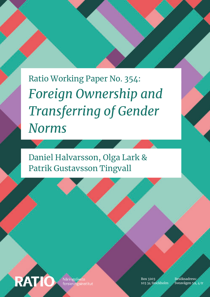*Foreign Ownership and Transferring of Gender Norms* Ratio Working Paper No. 354:

Daniel Halvarsson, Olga Lark & Patrik Gustavsson Tingvall



Näringslivets orskningsinstitut Box 3203 103 34 Stockholm

Besöksadress: Sveavägen 59, 4 tr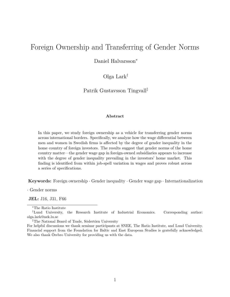## <span id="page-1-0"></span>Foreign Ownership and Transferring of Gender Norms

Daniel Halvarsson<sup>∗</sup>

Olga Lark†

Patrik Gustavsson Tingvall‡

#### **Abstract**

In this paper, we study foreign ownership as a vehicle for transferring gender norms across international borders. Specifically, we analyze how the wage differential between men and women in Swedish firms is affected by the degree of gender inequality in the home country of foreign investors. The results suggest that gender norms of the home country matter—the gender wage gap in foreign-owned subsidiaries appears to increase with the degree of gender inequality prevailing in the investors' home market. This finding is identified from within job-spell variation in wages and proves robust across a series of specifications.

**Keywords:** Foreign ownership · Gender inequality · Gender wage gap · Internationalization

· Gender norms

**JEL:** J16, J31, F66

‡The National Board of Trade, Södertörn University

<sup>∗</sup>The Ratio Institute

<sup>†</sup>Lund University, the Research Institute of Industrial Economics. Corresponding author: olga.lark@nek.lu.se

For helpful discussions we thank seminar participants at SNEE, The Ratio Institute, and Lund University. Financial support from the Foundation for Baltic and East European Studies is gratefully acknowledged. We also thank Örebro University for providing us with the data.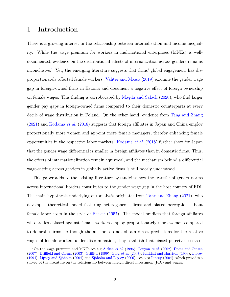## **1 Introduction**

There is a growing interest in the relationship between internalization and income inequality. While the wage premium for workers in multinational enterprises (MNEs) is welldocumented, evidence on the distributional effects of internalization across genders remains inconclusive.<sup>[1](#page-1-0)</sup> Yet, the emerging literature suggests that firms' global engagement has disproportionately affected female workers. [Vahter and Masso](#page-28-0) [\(2019\)](#page-28-0) examine the gender wage gap in foreign-owned firms in Estonia and document a negative effect of foreign ownership on female wages. This finding is corroborated by [Magda and Sałach](#page-27-0) [\(2020\)](#page-27-0), who find larger gender pay gaps in foreign-owned firms compared to their domestic counterparts at every decile of wage distribution in Poland. On the other hand, evidence from [Tang and Zhang](#page-28-1) [\(2021\)](#page-28-1) and [Kodama](#page-27-1) *et al.* [\(2018\)](#page-27-1) suggests that foreign affiliates in Japan and China employ proportionally more women and appoint more female managers, thereby enhancing female opportunities in the respective labor markets. [Kodama](#page-27-1) *et al.* [\(2018\)](#page-27-1) further show for Japan that the gender wage differential is smaller in foreign affiliates than in domestic firms. Thus, the effects of internationalization remain equivocal, and the mechanism behind a differential wage-setting across genders in globally active firms is still poorly understood.

This paper adds to the existing literature by studying how the transfer of gender norms across international borders contributes to the gender wage gap in the host country of FDI. The main hypothesis underlying our analysis originates from [Tang and Zhang](#page-28-1) [\(2021\)](#page-28-1), who develop a theoretical model featuring heterogeneous firms and biased perceptions about female labor costs in the style of [Becker](#page-25-0) [\(1957\)](#page-25-0). The model predicts that foreign affiliates who are less biased against female workers employ proportionately more women compared to domestic firms. Although the authors do not obtain direct predictions for the relative wages of female workers under discrimination, they establish that biased perceived costs of

<sup>1</sup>On the wage premium and MNEs see e.g [Aitken](#page-25-1) *et al.* [\(1996\)](#page-25-1), [Conyon](#page-26-0) *et al.* [\(2002\)](#page-26-0), [Doms and Jensen](#page-26-1) [\(2007\)](#page-26-1), [Driffield and Girma](#page-26-2) [\(2003\)](#page-26-2), [Griffith](#page-26-3) [\(1999\)](#page-26-3), Görg *[et al.](#page-26-4)* [\(2007\)](#page-26-4), [Haddad and Harrison](#page-26-5) [\(1993\)](#page-26-5), [Lipsey](#page-27-2) [\(1994\)](#page-27-2), [Lipsey and Sjöholm](#page-27-3) [\(2004\)](#page-27-3) and [Sjöholm and Lipsey](#page-27-4) [\(2006\)](#page-27-4); see also [Lipsey](#page-27-5) [\(2004\)](#page-27-5), which provides a survey of the literature on the relationship between foreign direct investment (FDI) and wages.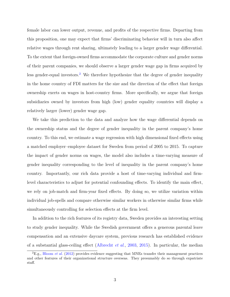female labor can lower output, revenue, and profits of the respective firms. Departing from this proposition, one may expect that firms' discriminating behavior will in turn also affect relative wages through rent sharing, ultimately leading to a larger gender wage differential. To the extent that foreign-owned firms accommodate the corporate culture and gender norms of their parent companies, we should observe a larger gender wage gap in firms acquired by less gender-equal investors.<sup>[2](#page-1-0)</sup> We therefore hypothesize that the degree of gender inequality in the home country of FDI matters for the size and the direction of the effect that foreign ownership exerts on wages in host-country firms. More specifically, we argue that foreign subsidiaries owned by investors from high (low) gender equality countries will display a relatively larger (lower) gender wage gap.

We take this prediction to the data and analyze how the wage differential depends on the ownership status and the degree of gender inequality in the parent company's home country. To this end, we estimate a wage regression with high dimensional fixed effects using a matched employer–employee dataset for Sweden from period of 2005 to 2015. To capture the impact of gender norms on wages, the model also includes a time-varying measure of gender inequality corresponding to the level of inequality in the parent company's home country. Importantly, our rich data provide a host of time-varying individual and firmlevel characteristics to adjust for potential confounding effects. To identify the main effect, we rely on job-match and firm-year fixed effects. By doing so, we utilize variation within individual job-spells and compare otherwise similar workers in otherwise similar firms while simultaneously controlling for selection effects at the firm level.

In addition to the rich features of its registry data, Sweden provides an interesting setting to study gender inequality. While the Swedish government offers a generous parental leave compensation and an extensive daycare system, previous research has established evidence of a substantial glass-ceiling effect [\(Albrecht](#page-25-2) *et al.*, [2003,](#page-25-2) [2015\)](#page-25-3). In particular, the median

 ${}^{2}E.g., Bloom \text{ } et \text{ } al. \text{ } (2012)$  ${}^{2}E.g., Bloom \text{ } et \text{ } al. \text{ } (2012)$  ${}^{2}E.g., Bloom \text{ } et \text{ } al. \text{ } (2012)$  ${}^{2}E.g., Bloom \text{ } et \text{ } al. \text{ } (2012)$  provides evidence suggesting that MNEs transfer their management practices and other features of their organizational structure overseas. They presumably do so through expatriate staff.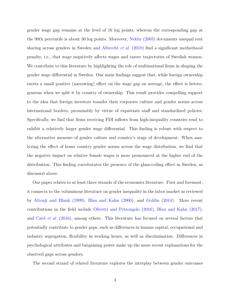gender wage gap remains at the level of 10 log points, whereas the corresponding gap at the 90th percentile is about 30 log points. Moreover, [Nekby](#page-27-6) [\(2003\)](#page-27-6) documents unequal rent sharing across genders in Sweden and [Albrecht](#page-25-4) *et al.* [\(2018\)](#page-25-4) find a significant motherhood penalty, i.e., that wage negatively affects wages and career trajectories of Swedish women. We contribute to this literature by highlighting the role of multinational firms in shaping the gender wage differential in Sweden. Our main findings suggest that, while foreign ownership exerts a small positive (narrowing) effect on the wage gap on average, the effect is heterogeneous when we split it by country of ownership. This result provides compelling support to the idea that foreign investors transfer their corporate culture and gender norms across international borders, presumably by virtue of expatriate staff and standardized policies. Specifically, we find that firms receiving FDI inflows from high-inequality countries tend to exhibit a relatively larger gender wage differential. This finding is robust with respect to the alternative measure of gender culture and country's stage of development. When analyzing the effect of home country gender norms across the wage distribution, we find that the negative impact on relative female wages is more pronounced at the higher end of the distribution. This finding corroborates the presence of the glass-ceiling effect in Sweden, as discussed above.

Our paper relates to at least three strands of the economics literature. First and foremost, it connects to the voluminous literature on gender inequality in the labor market as reviewed by [Altonji and Blank](#page-25-5) [\(1999\)](#page-25-5), [Blau and Kahn](#page-25-6) [\(2000\)](#page-25-6), and [Goldin](#page-26-7) [\(2014\)](#page-26-7). More recent contributions in the field include [Olivetti and Petrongolo](#page-27-7) [\(2016\)](#page-27-7), [Blau and Kahn](#page-25-7) [\(2017\)](#page-25-7), and Card *[et al.](#page-26-8)* [\(2016\)](#page-26-8), among others. This literature has focused on several factors that potentially contribute to gender gaps, such as differences in human capital, occupational and industry segregation, flexibility in working hours, as well as discrimination. Differences in psychological attributes and bargaining power make up the more recent explanations for the observed gaps across genders.

The second strand of related literature explores the interplay between gender outcomes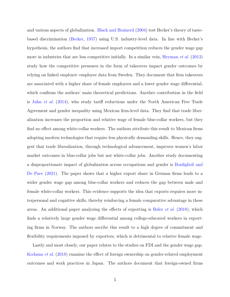and various aspects of globalization. [Black and Brainerd](#page-25-8) [\(2004\)](#page-25-8) test Becker's theory of tastebased discrimination [\(Becker,](#page-25-0) [1957\)](#page-25-0) using U.S. industry-level data. In line with Becker's hypothesis, the authors find that increased import competition reduces the gender wage gap more in industries that are less competitive initially. In a similar vein, [Heyman](#page-27-8) *et al.* [\(2013\)](#page-27-8) study how the competitive pressures in the form of takeovers impact gender outcomes by relying on linked employer–employee data from Sweden. They document that firm takeovers are associated with a higher share of female employees and a lower gender wage differential, which confirms the authors' main theoretical predictions. Another contribution in the field is Juhn *[et al.](#page-27-9)* [\(2014\)](#page-27-9), who study tariff reductions under the North American Free Trade Agreement and gender inequality using Mexican firm-level data. They find that trade liberalization increases the proportion and relative wage of female blue-collar workers, but they find no effect among white-collar workers. The authors attribute this result to Mexican firms adopting modern technologies that require less physically demanding skills. Hence, they suggest that trade liberalization, through technological advancement, improves women's labor market outcomes in blue-collar jobs but not white-collar jobs. Another study documenting a disproportionate impact of globalization across occupations and gender is [Bonfiglioli and](#page-26-9) [De Pace](#page-26-9) [\(2021\)](#page-26-9). The paper shows that a higher export share in German firms leads to a wider gender wage gap among blue-collar workers and reduces the gap between male and female white-collar workers. This evidence supports the idea that exports requires more interpersonal and cognitive skills, thereby reinforcing a female comparative advantage in these areas. An additional paper analyzing the effects of exporting is [Bøler](#page-26-10) *et al.* [\(2018\)](#page-26-10), which finds a relatively large gender wage differential among college-educated workers in exporting firms in Norway. The authors ascribe this result to a high degree of commitment and flexibility requirements imposed by exporters, which is detrimental to relative female wage.

Lastly and most closely, our paper relates to the studies on FDI and the gender wage gap. [Kodama](#page-27-1) *et al.* [\(2018\)](#page-27-1) examine the effect of foreign ownership on gender-related employment outcomes and work practices in Japan. The authors document that foreign-owned firms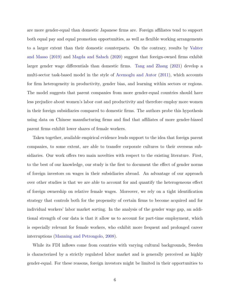are more gender-equal than domestic Japanese firms are. Foreign affiliates tend to support both equal pay and equal promotion opportunities, as well as flexible working arrangements to a larger extent than their domestic counterparts. On the contrary, results by [Vahter](#page-28-0) [and Masso](#page-28-0) [\(2019\)](#page-28-0) and [Magda and Sałach](#page-27-0) [\(2020\)](#page-27-0) suggest that foreign-owned firms exhibit larger gender wage differentials than domestic firms. [Tang and Zhang](#page-28-1) [\(2021\)](#page-28-1) develop a multi-sector task-based model in the style of [Acemoglu and Autor](#page-25-9) [\(2011\)](#page-25-9), which accounts for firm heterogeneity in productivity, gender bias, and learning within sectors or regions. The model suggests that parent companies from more gender-equal countries should have less prejudice about women's labor cost and productivity and therefore employ more women in their foreign subsidiaries compared to domestic firms. The authors probe this hypothesis using data on Chinese manufacturing firms and find that affiliates of more gender-biased parent firms exhibit lower shares of female workers.

Taken together, available empirical evidence lends support to the idea that foreign parent companies, to some extent, are able to transfer corporate cultures to their overseas subsidiaries. Our work offers two main novelties with respect to the existing literature. First, to the best of our knowledge, our study is the first to document the effect of gender norms of foreign investors on wages in their subsidiaries abroad. An advantage of our approach over other studies is that we are able to account for and quantify the heterogeneous effect of foreign ownership on relative female wages. Moreover, we rely on a tight identification strategy that controls both for the propensity of certain firms to become acquired and for individual workers' labor market sorting. In the analysis of the gender wage gap, an additional strength of our data is that it allow us to account for part-time employment, which is especially relevant for female workers, who exhibit more frequent and prolonged career interruptions [\(Manning and Petrongolo,](#page-27-10) [2008\)](#page-27-10).

While its FDI inflows come from countries with varying cultural backgrounds, Sweden is characterized by a strictly regulated labor market and is generally perceived as highly gender-equal. For these reasons, foreign investors might be limited in their opportunities to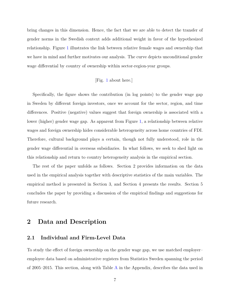bring changes in this dimension. Hence, the fact that we are able to detect the transfer of gender norms in the Swedish context adds additional weight in favor of the hypothesized relationship. Figure [1](#page-29-0) illustrates the link between relative female wages and ownership that we have in mind and further motivates our analysis. The curve depicts unconditional gender wage differential by country of ownership within sector-region-year groups.

#### [Fig. [1](#page-29-0) about here.]

Specifically, the figure shows the contribution (in log points) to the gender wage gap in Sweden by different foreign investors, once we account for the sector, region, and time differences. Positive (negative) values suggest that foreign ownership is associated with a lower (higher) gender wage gap. As apparent from Figure [1,](#page-29-0) a relationship between relative wages and foreign ownership hides considerable heterogeneity across home countries of FDI. Therefore, cultural background plays a certain, though not fully understood, role in the gender wage differential in overseas subsidiaries. In what follows, we seek to shed light on this relationship and return to country heterogeneity analysis in the empirical section.

The rest of the paper unfolds as follows. Section 2 provides information on the data used in the empirical analysis together with descriptive statistics of the main variables. The empirical method is presented in Section 3, and Section 4 presents the results. Section 5 concludes the paper by providing a discussion of the empirical findings and suggestions for future research.

## **2 Data and Description**

#### **2.1 Individual and Firm-Level Data**

To study the effect of foreign ownership on the gender wage gap, we use matched employer– employee data based on administrative registers from Statistics Sweden spanning the period of 2005–2015. This section, along with Table [A](#page-37-0) in the Appendix, describes the data used in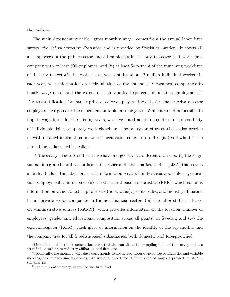the analysis.

The main dependent variable—gross monthly wage—comes from the annual labor force survey, *the Salary Structure Statistics*, and is provided by Statistics Sweden. It covers (i) all employees in the public sector and all employees in the private sector that work for a company with at least 500 employees, and (ii) at least 50 percent of the remaining workforce of the private sector<sup>[3](#page-1-0)</sup>. In total, the survey contains about 2 million individual workers in each year, with information on their full-time equivalent monthly earnings (comparable to hourly wage rates) and the extent of their workload (percent of full-time employment).<sup>[4](#page-1-0)</sup> Due to stratification for smaller private-sector employers, the data for smaller private-sector employers have gaps for the dependent variable in some years. While it would be possible to impute wage levels for the missing years, we have opted not to do so due to the possibility of individuals doing temporary work elsewhere. The salary structure statistics also provide us with detailed information on worker occupation codes (up to 4 digits) and whether the job is blue-collar or white-collar.

To the salary structure statistics, we have merged several different data sets: (i) the longitudinal integrated database for health insurance and labor market studies (LISA) that covers all individuals in the labor force, with information on age, family status and children, education, employment, and income; (ii) the structural business statistics (FEK), which contains information on value-added, capital stock (book value), profits, sales, and industry affiliation for all private sector companies in the non-financial sector; (iii) the labor statistics based on administrative sources (RAMS), which provides information on the location, number of employees, gender and educational composition across all plants<sup>[5](#page-1-0)</sup> in Sweden; and (iv) the concern register (KCR), which gives us information on the identity of the top mother and the company tree for all Swedish-based subsidiaries, both domestic and foreign-owned.

<sup>&</sup>lt;sup>3</sup>Firms included in the structural business statistics constitute the sampling units of the survey and are stratified according to industry affiliation and firm size.

<sup>&</sup>lt;sup>4</sup>Specifically, the monthly wage data corresponds to the agreed-upon wage on top of amenities and variable incomes, absent over-time payments. We use annualized and deflated data of wages expressed in EUR in the analysis.

<sup>&</sup>lt;sup>5</sup>The plant data are aggregated to the firm level.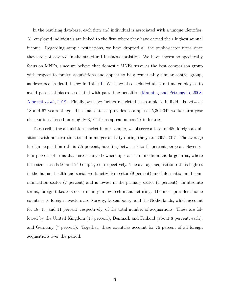In the resulting database, each firm and individual is associated with a unique identifier. All employed individuals are linked to the firm where they have earned their highest annual income. Regarding sample restrictions, we have dropped all the public-sector firms since they are not covered in the structural business statistics. We have chosen to specifically focus on MNEs, since we believe that domestic MNEs serve as the best comparison group with respect to foreign acquisitions and appear to be a remarkably similar control group, as described in detail below in Table [1.](#page-30-0) We have also excluded all part-time employees to avoid potential biases associated with part-time penalties [\(Manning and Petrongolo,](#page-27-10) [2008;](#page-27-10) [Albrecht](#page-25-4) *et al.*, [2018\)](#page-25-4). Finally, we have further restricted the sample to individuals between 18 and 67 years of age. The final dataset provides a sample of 5,304,042 worker-firm-year observations, based on roughly 3,164 firms spread across 77 industries.

To describe the acquisition market in our sample, we observe a total of 450 foreign acquisitions with no clear time trend in merger activity during the years 2005–2015. The average foreign acquisition rate is 7.5 percent, hovering between 3 to 11 percent per year. Seventyfour percent of firms that have changed ownership status are medium and large firms, where firm size exceeds 50 and 250 employees, respectively. The average acquisition rate is highest in the human health and social work activities sector (9 percent) and information and communication sector (7 percent) and is lowest in the primary sector (1 percent). In absolute terms, foreign takeovers occur mainly in low-tech manufacturing. The most prevalent home countries to foreign investors are Norway, Luxembourg, and the Netherlands, which account for 18, 13, and 11 percent, respectively, of the total number of acquisitions. These are followed by the United Kingdom (10 percent), Denmark and Finland (about 8 percent, each), and Germany (7 percent). Together, these countries account for 76 percent of all foreign acquisitions over the period.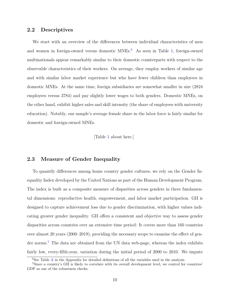#### **2.2 Descriptives**

We start with an overview of the differences between individual characteristics of men and women in foreign-owned versus domestic  $MNEs<sup>6</sup>$  $MNEs<sup>6</sup>$  $MNEs<sup>6</sup>$ . As seen in Table [1,](#page-30-0) foreign-owned multinationals appear remarkably similar to their domestic counterparts with respect to the observable characteristics of their workers. On average, they employ workers of similar age and with similar labor market experience but who have fewer children than employees in domestic MNEs. At the same time, foreign subsidiaries are somewhat smaller in size (2824 employees versus 3784) and pay slightly lower wages to both genders. Domestic MNEs, on the other hand, exhibit higher sales and skill intensity (the share of employees with university education). Notably, our sample's average female share in the labor force is fairly similar for domestic and foreign-owned MNEs.

[Table [1](#page-30-0) about here.]

#### **2.3 Measure of Gender Inequality**

To quantify differences among home country gender cultures, we rely on the Gender Inequality Index developed by the United Nations as part of the Human Development Program. The index is built as a composite measure of disparities across genders in three fundamental dimensions: reproductive health, empowerment, and labor market participation. GII is designed to capture achievement loss due to gender discrimination, with higher values indicating greater gender inequality. GII offers a consistent and objective way to assess gender disparities across countries over an extensive time period: It covers more than 160 countries over almost 20 years (2000–2019), providing the necessary scope to examine the effect of gen-der norms.<sup>[7](#page-1-0)</sup> The data are obtained from the UN data web-page, whereas the index exhibits fairly low, every-fifth-year, variation during the initial period of 2000 to 2010. We impute

 ${}^{6}$ See Table [A](#page-37-0) in the Appendix for detailed definitions of all the variables used in the analysis.

<sup>7</sup>Since a country's GII is likely to correlate with its overall development level, we control for countries' GDP as one of the robustness checks.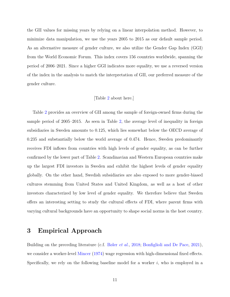the GII values for missing years by relying on a linear interpolation method. However, to minimize data manipulation, we use the years 2005 to 2015 as our default sample period. As an alternative measure of gender culture, we also utilize the Gender Gap Index (GGI) from the World Economic Forum. This index covers 156 countries worldwide, spanning the period of 2006–2021. Since a higher GGI indicates more equality, we use a reversed version of the index in the analysis to match the interpretation of GII, our preferred measure of the gender culture.

#### [Table [2](#page-31-0) about here.]

Table [2](#page-31-0) provides an overview of GII among the sample of foreign-owned firms during the sample period of 2005–2015. As seen in Table [2,](#page-31-0) the average level of inequality in foreign subsidiaries in Sweden amounts to 0.125, which lies somewhat below the OECD average of 0.235 and substantially below the world average of 0.474. Hence, Sweden predominantly receives FDI inflows from countries with high levels of gender equality, as can be further confirmed by the lower part of Table [2.](#page-31-0) Scandinavian and Western European countries make up the largest FDI investors in Sweden and exhibit the highest levels of gender equality globally. On the other hand, Swedish subsidiaries are also exposed to more gender-biased cultures stemming from United States and United Kingdom, as well as a host of other investors characterized by low level of gender equality. We therefore believe that Sweden offers an interesting setting to study the cultural effects of FDI, where parent firms with varying cultural backgrounds have an opportunity to shape social norms in the host country.

### **3 Empirical Approach**

Building on the preceding literature (c.f. [Bøler](#page-26-10) *et al.*, [2018;](#page-26-10) [Bonfiglioli and De Pace,](#page-26-9) [2021\)](#page-26-9), we consider a worker-level [Mincer](#page-27-11) [\(1974\)](#page-27-11) wage regression with high-dimensional fixed effects. Specifically, we rely on the following baseline model for a worker *i*, who is employed in a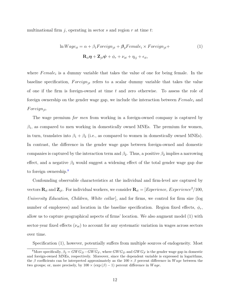multinational firm *j*, operating in sector *s* and region *r* at time *t*:

$$
\ln Wage_{it} = \alpha + \beta_1 Foreign = \beta_2 Female_i \times Foreign_{jt} +
$$
  

$$
\mathbf{R}_{it}\boldsymbol{\eta} + \mathbf{Z}_{jt}\boldsymbol{\psi} + \phi_r + \nu_{st} + \eta_{ij} + \epsilon_{it},
$$
 (1)

where *Female<sub>i</sub>* is a dummy variable that takes the value of one for being female. In the baseline specification,  $Foreign_{jt}$  refers to a scalar dummy variable that takes the value of one if the firm is foreign-owned at time *t* and zero otherwise. To assess the role of foreign ownership on the gender wage gap, we include the interaction between *F emale<sup>i</sup>* and *F oreignjt*.

The wage premium *for men* from working in a foreign-owned company is captured by  $\beta_1$ , as compared to men working in domestically owned MNEs. The premium for women, in turn, translates into  $\beta_1 + \beta_2$  (i.e., as compared to women in domestically owned MNEs). In contrast, the difference in the gender wage gaps between foreign-owned and domestic companies is captured by the interaction term and  $\beta_2$ . Thus, a positive  $\beta_2$  implies a narrowing effect, and a negative  $\beta_2$  would suggest a widening effect of the total gender wage gap due to foreign ownership.<sup>[8](#page-1-0)</sup>

Confounding observable characteristics at the individual and firm-level are captured by vectors  $\mathbf{R}_{it}$  and  $\mathbf{Z}_{jt}$ . For individual workers, we consider  $\mathbf{R}_{it} = [Experimente, Experience^{2}/100,$ *University Education, Children, White collar*], and for firms, we control for firm size (log number of employees) and location in the baseline specification. Region fixed effects,  $\phi_r$ , allow us to capture geographical aspects of firms' location. We also augment model (1) with sector-year fixed effects  $(\nu_{st})$  to account for any systematic variation in wages across sectors over time.

Specification (1), however, potentially suffers from multiple sources of endogeneity. Most

<sup>&</sup>lt;sup>8</sup>More specifically,  $\beta_2 = GW G_D - GW G_F$ , where  $GWG_D$  and  $GWG_F$  is the gender wage gap in domestic and foreign-owned MNEs, respectively. Moreover, since the dependent variable is expressed in logarithms, the *β* coefficients can be interpreted approximately as the 100 × *β* percent difference in *W age* between the two groups; or, more precisely, by  $100 \times (\exp(\beta) - 1)$  percent difference in *Wage*.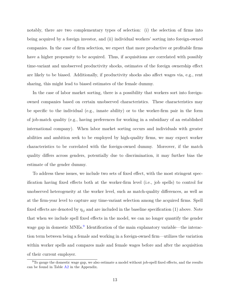notably, there are two complementary types of selection: (i) the selection of firms into being acquired by a foreign investor, and (ii) individual workers' sorting into foreign-owned companies. In the case of firm selection, we expect that more productive or profitable firms have a higher propensity to be acquired. Thus, if acquisitions are correlated with possibly time-variant and unobserved productivity shocks, estimates of the foreign ownership effect are likely to be biased. Additionally, if productivity shocks also affect wages via, e.g., rent sharing, this might lead to biased estimates of the female dummy.

In the case of labor market sorting, there is a possibility that workers sort into foreignowned companies based on certain unobserved characteristics. These characteristics may be specific to the individual (e.g., innate ability) or to the worker-firm pair in the form of job-match quality (e.g., having preferences for working in a subsidiary of an established international company). When labor market sorting occurs and individuals with greater abilities and ambition seek to be employed by high-quality firms, we may expect worker characteristics to be correlated with the foreign-owned dummy. Moreover, if the match quality differs across genders, potentially due to discrimination, it may further bias the estimate of the gender dummy.

To address these issues, we include two sets of fixed effect, with the most stringent specification having fixed effects both at the worker-firm level (i.e., job spells) to control for unobserved heterogeneity at the worker level, such as match-quality differences, as well as at the firm-year level to capture any time-variant selection among the acquired firms. Spell fixed effects are denoted by  $\eta_{ij}$  and are included in the baseline specification (1) above. Note that when we include spell fixed effects in the model, we can no longer quantify the gender wage gap in domestic MNEs.<sup>[9](#page-1-0)</sup> Identification of the main explanatory variable—the interaction term between being a female and working in a foreign-owned firm—utilizes the variation within worker spells and compares male and female wages before and after the acquisition of their current employer.

<sup>&</sup>lt;sup>9</sup>To gauge the domestic wage gap, we also estimate a model without job-spell fixed effects, and the results can be found in Table  $A2$  in the Appendix.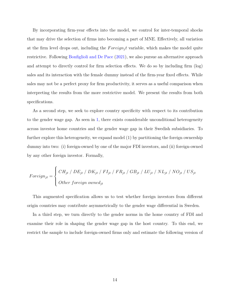By incorporating firm-year effects into the model, we control for inter-temporal shocks that may drive the selection of firms into becoming a part of MNE. Effectively, all variation at the firm level drops out, including the *F oreign<sup>j</sup> t* variable, which makes the model quite restrictive. Following [Bonfiglioli and De Pace](#page-26-9) [\(2021\)](#page-26-9), we also pursue an alternative approach and attempt to directly control for firm selection effects. We do so by including firm (log) sales and its interaction with the female dummy instead of the firm-year fixed effects. While sales may not be a perfect proxy for firm productivity, it serves as a useful comparison when interpreting the results from the more restrictive model. We present the results from both specifications.

As a second step, we seek to explore country specificity with respect to its contribution to the gender wage gap. As seen in [1,](#page-29-0) there exists considerable unconditional heterogeneity across investor home countries and the gender wage gap in their Swedish subsidiaries. To further explore this heterogeneity, we expand model (1) by partitioning the foreign ownership dummy into two: (i) foreign-owned by one of the major FDI investors, and (ii) foreign-owned by any other foreign investor. Formally,

$$
For eigen_{jt} = \left\{ \begin{array}{l} CH_{jt} / DE_{jt} / DK_{jt} / FI_{jt} / FR_{jt} / GB_{jt} / LU_{jt} / NL_{jt} / NO_{jt} / US_{jt} \\ Other foreign owned_{jt} \end{array} \right.
$$

 $\overline{ }$ 

This augmented specification allows us to test whether foreign investors from different origin countries may contribute asymmetrically to the gender wage differential in Sweden.

In a third step, we turn directly to the gender norms in the home country of FDI and examine their role in shaping the gender wage gap in the host country. To this end, we restrict the sample to include foreign-owned firms only and estimate the following version of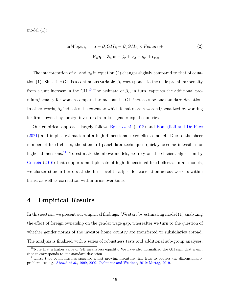model (1):

$$
\ln Wage_{ijst} = \alpha + \beta_1 GII_{jt} + \beta_2 GII_{jt} \times Female_i +
$$
  

$$
\mathbf{R}_{it}\boldsymbol{\eta} + \mathbf{Z}_{jt}\boldsymbol{\psi} + \phi_r + \nu_{st} + \eta_{ij} + \epsilon_{ijst}.
$$
 (2)

The interpretation of  $\beta_1$  and  $\beta_2$  in equation (2) changes slightly compared to that of equation (1). Since the GII is a continuous variable,  $\beta_1$  corresponds to the male premium/penalty from a unit increase in the GII.<sup>[10](#page-1-0)</sup> The estimate of  $\beta_2$ , in turn, captures the additional premium/penalty for women compared to men as the GII increases by one standard deviation. In other words,  $\beta_2$  indicates the extent to which females are rewarded/penalized by working for firms owned by foreign investors from less gender-equal countries.

Our empirical approach largely follows [Bøler](#page-26-10) *et al.* [\(2018\)](#page-26-10) and [Bonfiglioli and De Pace](#page-26-9) [\(2021\)](#page-26-9) and implies estimation of a high-dimensional fixed-effects model. Due to the sheer number of fixed effects, the standard panel-data techniques quickly become infeasible for higher dimensions.<sup>[11](#page-1-0)</sup> To estimate the above models, we rely on the efficient algorithm by [Correia](#page-26-11) [\(2016\)](#page-26-11) that supports multiple sets of high-dimensional fixed effects. In all models, we cluster standard errors at the firm level to adjust for correlation across workers within firms, as well as correlation within firms over time.

### **4 Empirical Results**

In this section, we present our empirical findings. We start by estimating model (1) analyzing the effect of foreign ownership on the gender wage gap, whereafter we turn to the question of whether gender norms of the investor home country are transferred to subsidiaries abroad. The analysis is finalized with a series of robustness tests and additional sub-group analyses.

<sup>&</sup>lt;sup>10</sup>Note that a higher value of GII means less equality. We have also normalized the GII such that a unit change corresponds to one standard deviation.

<sup>&</sup>lt;sup>11</sup>These type of models has spawned a fast growing literature that tries to address the dimensionality problem, see e.g. [Abowd](#page-25-10) *et al.*, [1999,](#page-25-10) [2002;](#page-25-11) [Jochmans and Weidner,](#page-27-12) [2019;](#page-27-12) [Mittag,](#page-27-13) [2019.](#page-27-13)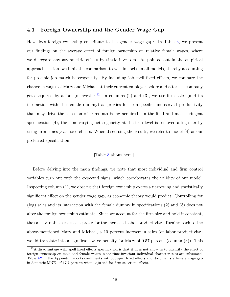#### **4.1 Foreign Ownership and the Gender Wage Gap**

How does foreign ownership contribute to the gender wage gap? In Table [3,](#page-32-0) we present our findings on the average effect of foreign ownership on relative female wages, where we disregard any asymmetric effects by single investors. As pointed out in the empirical approach section, we limit the comparison to within spells in all models, thereby accounting for possible job-match heterogeneity. By including job-spell fixed effects, we compare the change in wages of Mary and Michael at their current employer before and after the company gets acquired by a foreign investor.<sup>[12](#page-1-0)</sup> In columns (2) and (3), we use firm sales (and its interaction with the female dummy) as proxies for firm-specific unobserved productivity that may drive the selection of firms into being acquired. In the final and most stringent specification (4), the time-varying heterogeneity at the firm level is removed altogether by using firm times year fixed effects. When discussing the results, we refer to model (4) as our preferred specification.

#### [Table [3](#page-32-0) about here.]

Before delving into the main findings, we note that most individual and firm control variables turn out with the expected signs, which corroborates the validity of our model. Inspecting column (1), we observe that foreign ownership exerts a narrowing and statistically significant effect on the gender wage gap, as economic theory would predict. Controlling for (log) sales and its interaction with the female dummy in specifications (2) and (3) does not alter the foreign ownership estimate. Since we account for the firm size and hold it constant, the sales variable serves as a proxy for the increased labor productivity. Turning back to the above-mentioned Mary and Michael, a 10 percent increase in sales (or labor productivity) would translate into a significant wage penalty for Mary of 0.57 percent (column (3)). This

<sup>&</sup>lt;sup>12</sup>A disadvantage with spell fixed effects specification is that it does not allow us to quantify the effect of foreign ownership on male and female wages, since time-invariant individual characteristics are subsumed. Table [A2](#page-39-0) in the Appendix reports coefficients without spell fixed effects and documents a female wage gap in domestic MNEs of 17.7 percent when adjusted for firm selection effects.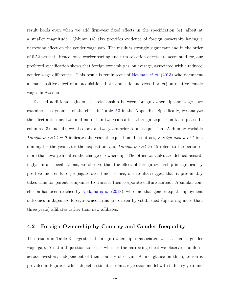result holds even when we add firm-year fixed effects in the specification (4), albeit at a smaller magnitude. Column (4) also provides evidence of foreign ownership having a narrowing effect on the gender wage gap. The result is strongly significant and in the order of 0.52 percent. Hence, once worker sorting and firm selection effects are accounted for, our preferred specification shows that foreign ownership is, on average, associated with a reduced gender wage differential. This result is reminiscent of [Heyman](#page-27-8) *et al.* [\(2013\)](#page-27-8) who document a small positive effect of an acquisition (both domestic and cross-border) on relative female wages in Sweden.

To shed additional light on the relationship between foreign ownership and wages, we examine the dynamics of the effect in Table [A3](#page-40-0) in the Appendix. Specifically, we analyze the effect after one, two, and more than two years after a foreign acquisition takes place. In columns (3) and (4), we also look at two years prior to an acquisition. A dummy variable *Foreign-owned t = 0* indicates the year of acquisition. In contrast, *Foreign-owned t+1* is a dummy for the year after the acquisition, and *Foreign-owned >t+2* refers to the period of more than two years after the change of ownership. The other variables are defined accordingly. In all specifications, we observe that the effect of foreign ownership is significantly positive and tends to propagate over time. Hence, our results suggest that it presumably takes time for parent companies to transfer their corporate culture abroad. A similar conclusion has been reached by [Kodama](#page-27-1) *et al.* [\(2018\)](#page-27-1), who find that gender-equal employment outcomes in Japanese foreign-owned firms are driven by established (operating more than three years) affiliates rather than new affiliates.

#### **4.2 Foreign Ownership by Country and Gender Inequality**

The results in Table [3](#page-32-0) suggest that foreign ownership is associated with a smaller gender wage gap. A natural question to ask is whether the narrowing effect we observe is uniform across investors, independent of their country of origin. A first glance on this question is provided in Figure [1,](#page-29-0) which depicts estimates from a regression model with industry-year and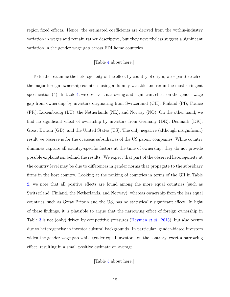region fixed effects. Hence, the estimated coefficients are derived from the within-industry variation in wages and remain rather descriptive, but they nevertheless suggest a significant variation in the gender wage gap across FDI home countries.

#### [Table [4](#page-33-0) about here.]

To further examine the heterogeneity of the effect by country of origin, we separate each of the major foreign ownership countries using a dummy variable and rerun the most stringent specification (4). In table [4,](#page-33-0) we observe a narrowing and significant effect on the gender wage gap from ownership by investors originating from Switzerland (CH), Finland (FI), France (FR), Luxembourg (LU), the Netherlands (NL), and Norway (NO). On the other hand, we find no significant effect of ownership by investors from Germany (DE), Denmark (DK), Great Britain (GB), and the United States (US). The only negative (although insignificant) result we observe is for the overseas subsidiaries of the US parent companies. While country dummies capture all country-specific factors at the time of ownership, they do not provide possible explanation behind the results. We expect that part of the observed heterogeneity at the country level may be due to differences in gender norms that propagate to the subsidiary firms in the host country. Looking at the ranking of countries in terms of the GII in Table [2,](#page-31-0) we note that all positive effects are found among the more equal countries (such as Switzerland, Finland, the Netherlands, and Norway), whereas ownership from the less equal countries, such as Great Britain and the US, has no statistically significant effect. In light of these findings, it is plausible to argue that the narrowing effect of foreign ownership in Table [3](#page-32-0) is not (only) driven by competitive pressures [\(Heyman](#page-27-8) *et al.*, [2013\)](#page-27-8), but also occurs due to heterogeneity in investor cultural backgrounds. In particular, gender-biased investors widen the gender wage gap while gender-equal investors, on the contrary, exert a narrowing effect, resulting in a small positive estimate on average.

[Table [5](#page-34-0) about here.]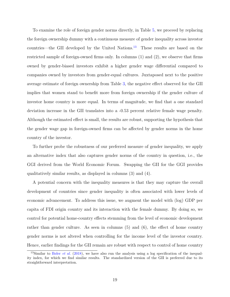To examine the role of foreign gender norms directly, in Table [5,](#page-34-0) we proceed by replacing the foreign ownership dummy with a continuous measure of gender inequality across investor countries—the GII developed by the United Nations. $^{13}$  $^{13}$  $^{13}$  These results are based on the restricted sample of foreign-owned firms only. In columns (1) and (2), we observe that firms owned by gender-biased investors exhibit a higher gender wage differential compared to companies owned by investors from gender-equal cultures. Juxtaposed next to the positive average estimate of foreign ownership from Table [3,](#page-32-0) the negative effect observed for the GII implies that women stand to benefit more from foreign ownership if the gender culture of investor home country is more equal. In terms of magnitude, we find that a one standard deviation increase in the GII translates into a -0.53 percent relative female wage penalty. Although the estimated effect is small, the results are robust, supporting the hypothesis that the gender wage gap in foreign-owned firms can be affected by gender norms in the home country of the investor.

To further probe the robustness of our preferred measure of gender inequality, we apply an alternative index that also captures gender norms of the country in question, i.e., the GGI derived from the World Economic Forum. Swapping the GII for the GGI provides qualitatively similar results, as displayed in columns (3) and (4).

A potential concern with the inequality measures is that they may capture the overall development of countries since gender inequality is often associated with lower levels of economic advancement. To address this issue, we augment the model with (log) GDP per capita of FDI origin country and its interaction with the female dummy. By doing so, we control for potential home-country effects stemming from the level of economic development rather than gender culture. As seen in columns (5) and (6), the effect of home country gender norms is not altered when controlling for the income level of the investor country. Hence, earlier findings for the GII remain are robust with respect to control of home country

<sup>&</sup>lt;sup>13</sup>Similar to [Bøler](#page-26-10) *et al.* [\(2018\)](#page-26-10), we have also run the analysis using a log specification of the inequality index, for which we find similar results. The standardized version of the GII is preferred due to its straightforward interpretation.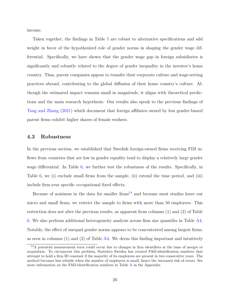income.

Taken together, the findings in Table [5](#page-34-0) are robust to alternative specifications and add weight in favor of the hypothesized role of gender norms in shaping the gender wage differential. Specifically, we have shown that the gender wage gap in foreign subsidiaries is significantly and robustly related to the degree of gender inequality in the investor's home country. Thus, parent companies appear to transfer their corporate culture and wage-setting practices abroad, contributing to the global diffusion of their home country's culture. Although the estimated impact remains small in magnitude, it aligns with theoretical predictions and the main research hypothesis. Our results also speak to the previous findings of [Tang and Zhang](#page-28-1) [\(2021\)](#page-28-1) which document that foreign affiliates owned by less gender-biased parent firms exhibit higher shares of female workers.

#### **4.3 Robustness**

In the previous section, we established that Swedish foreign-owned firms receiving FDI inflows from countries that are low in gender equality tend to display a relatively large gender wage differential. In Table [6,](#page-35-0) we further test the robustness of the results. Specifically, in Table [6,](#page-35-0) we (i) exclude small firms from the sample, (ii) extend the time period, and (iii) include firm-year specific occupational fixed effects.

Because of noisiness in the data for smaller firms<sup>[14](#page-1-0)</sup> and because most studies leave out micro and small firms, we restrict the sample to firms with more than 50 employees. This restriction does not alter the previous results, as apparent from columns (1) and (2) of Table [6.](#page-35-0) We also perform additional heterogeneity analysis across firm size quantiles in Table [A4.](#page-41-0) Notably, the effect of unequal gender norms appears to be concentrated among largest firms, as seen in columns  $(1)$  and  $(2)$  of Table [A4.](#page-41-0) We deem this finding important and intuitively

<sup>14</sup>A potential measurement error could occur due to changes in firm identifiers at the time of merger or acquisition. To circumvent this problem, Statistics Sweden has created FAD-identification numbers that attempt to hold a firm ID constant if the majority of its employees are present in two consecutive years. The method becomes less reliable when the number of employees is small, hence the increased risk of errors. See more information on the FAD-identification numbers in Table [A](#page-37-0) in the Appendix.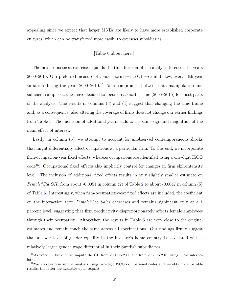appealing since we expect that larger MNEs are likely to have more established corporate cultures, which can be transferred more easily to overseas subsidiaries.

#### [Table [6](#page-35-0) about here.]

The next robustness exercise expands the time horizon of the analysis to cover the years 2000–2015. Our preferred measure of gender norms—the GII—exhibits low, every-fifth-year variation during the years  $2000-2010$ .<sup>[15](#page-1-0)</sup> As a compromise between data manipulation and sufficient sample size, we have decided to focus on a shorter time (2005–2015) for most parts of the analysis. The results in columns (3) and (4) suggest that changing the time frame and, as a consequence, also altering the coverage of firms does not change our earlier findings from Table [5.](#page-34-0) The inclusion of additional years leads to the same sign and magnitude of the main effect of interest.

Lastly, in column (5), we attempt to account for unobserved contemporaneous shocks that might differentially affect occupations at a particular firm. To this end, we incorporate firm-occupation-year fixed effects, whereas occupations are identified using a one-digit ISCO  $code<sup>16</sup>$  $code<sup>16</sup>$  $code<sup>16</sup>$ . Occupational fixed effects also implicitly control for changes in firm skill-intensity level. The inclusion of additional fixed effects results in only slightly smaller estimate on *Female\*Std GII*: from about -0.0051 in column ([2](#page-31-0)) of Table 2 to about -0.0047 in column (5) of Table [6.](#page-35-0) Interestingly, when firm-occupation-year fixed effects are included, the coefficient on the interaction term *Female\*Log Sales* decreases and remains significant only at a 1 percent level, suggesting that firm productivity disproportionately affects female employees through their occupation. Altogether, the results in Table [6](#page-35-0) are very close to the original estimates and remain much the same across all specifications. Our findings firmly suggest that a lower level of gender equality in the investor's home country is associated with a relatively larger gender wage differential in their Swedish subsidiaries.

<sup>&</sup>lt;sup>15</sup>As noted in Table [A,](#page-37-0) we impute the GII from 2000 to 2005 and from 2005 to 2010 using linear interpolation.

<sup>&</sup>lt;sup>16</sup>We also perform similar analysis using two-digit ISCO occupational codes and we obtain comparable results; the latter are available upon request.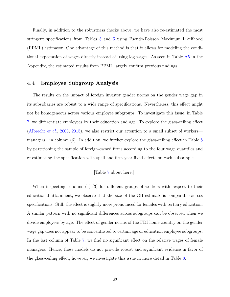Finally, in addition to the robustness checks above, we have also re-estimated the most stringent specifications from Tables [3](#page-32-0) and [5](#page-34-0) using Pseudo-Poisson Maximum Likelihood (PPML) estimator. One advantage of this method is that it allows for modeling the conditional expectation of wages directly instead of using log wages. As seen in Table [A5](#page-42-0) in the Appendix, the estimated results from PPML largely confirm previous findings.

#### **4.4 Employee Subgroup Analysis**

The results on the impact of foreign investor gender norms on the gender wage gap in its subsidiaries are robust to a wide range of specifications. Nevertheless, this effect might not be homogeneous across various employee subgroups. To investigate this issue, in Table [7,](#page-36-0) we differentiate employees by their education and age. To explore the glass-ceiling effect [\(Albrecht](#page-25-2) *et al.*, [2003,](#page-25-2) [2015\)](#page-25-3), we also restrict our attention to a small subset of workers managers—in column (6). In addition, we further explore the glass-ceiling effect in Table [8](#page-36-1) by partitioning the sample of foreign-owned firms according to the four wage quantiles and re-estimating the specification with spell and firm-year fixed effects on each subsample.

#### [Table [7](#page-36-0) about here.]

When inspecting columns (1)-(3) for different groups of workers with respect to their educational attainment, we observe that the size of the GII estimate is comparable across specifications. Still, the effect is slightly more pronounced for females with tertiary education. A similar pattern with no significant differences across subgroups can be observed when we divide employees by age. The effect of gender norms of the FDI home country on the gender wage gap does not appear to be concentrated to certain age or education employee subgroups. In the last column of Table [7,](#page-36-0) we find no significant effect on the relative wages of female managers. Hence, these models do not provide robust and significant evidence in favor of the glass-ceiling effect; however, we investigate this issue in more detail in Table [8.](#page-36-1)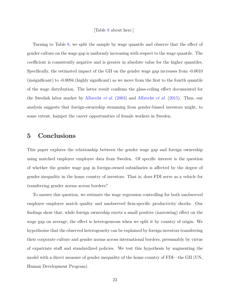#### [Table [8](#page-36-1) about here.]

Turning to Table [8,](#page-36-1) we split the sample by wage quantile and observe that the effect of gender culture on the wage gap is uniformly increasing with respect to the wage quantile. The coefficient is consistently negative and is greater in absolute value for the higher quantiles. Specifically, the estimated impact of the GII on the gender wage gap increases from -0.0010 (insignificant) to -0.0094 (highly significant) as we move from the first to the fourth quantile of the wage distribution. The latter result confirms the glass-ceiling effect documented for the Swedish labor market by [Albrecht](#page-25-2) *et al.* [\(2003\)](#page-25-2) and [Albrecht](#page-25-3) *et al.* [\(2015\)](#page-25-3). Thus, our analysis suggests that foreign-ownership stemming from gender-biased investors might, to some extent, hamper the career opportunities of female workers in Sweden.

## **5 Conclusions**

This paper explores the relationship between the gender wage gap and foreign ownership using matched employer–employee data from Sweden. Of specific interest is the question of whether the gender wage gap in foreign-owned subsidiaries is affected by the degree of gender inequality in the home country of investors. That is, does FDI serve as a vehicle for transferring gender norms across borders?

To answer this question, we estimate the wage regression controlling for both unobserved employer–employee match quality and unobserved firm-specific productivity shocks. Our findings show that, while foreign ownership exerts a small positive (narrowing) effect on the wage gap on average, the effect is heterogeneous when we split it by country of origin. We hypothesize that the observed heterogeneity can be explained by foreign investors transferring their corporate culture and gender norms across international borders, presumably by virtue of expatriate staff and standardized policies. We test this hypothesis by augmenting the model with a direct measure of gender inequality of the home country of FDI—the GII (UN, Human Development Program).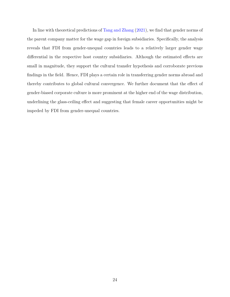In line with theoretical predictions of [Tang and Zhang](#page-28-1) [\(2021\)](#page-28-1), we find that gender norms of the parent company matter for the wage gap in foreign subsidiaries. Specifically, the analysis reveals that FDI from gender-unequal countries leads to a relatively larger gender wage differential in the respective host country subsidiaries. Although the estimated effects are small in magnitude, they support the cultural transfer hypothesis and corroborate previous findings in the field. Hence, FDI plays a certain role in transferring gender norms abroad and thereby contributes to global cultural convergence. We further document that the effect of gender-biased corporate culture is more prominent at the higher end of the wage distribution, underlining the glass-ceiling effect and suggesting that female career opportunities might be impeded by FDI from gender-unequal countries.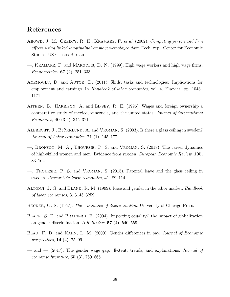## **References**

- <span id="page-25-11"></span>Abowd, J. M., CREECY, R. H., KRAMARZ, F. *et al.* (2002). *Computing person and firm effects using linked longitudinal employer-employee data*. Tech. rep., Center for Economic Studies, US Census Bureau.
- <span id="page-25-10"></span>—, Kramarz, F. and Margolis, D. N. (1999). High wage workers and high wage firms. *Econometrica*, **67** (2), 251–333.
- <span id="page-25-9"></span>ACEMOGLU, D. and AUTOR, D. (2011). Skills, tasks and technologies: Implications for employment and earnings. In *Handbook of labor economics*, vol. 4, Elsevier, pp. 1043– 1171.
- <span id="page-25-1"></span>Aitken, B., Harrison, A. and Lipsey, R. E. (1996). Wages and foreign ownership a comparative study of mexico, venezuela, and the united states. *Journal of international Economics*, **40** (3-4), 345–371.
- <span id="page-25-2"></span>ALBRECHT, J., BJÖRKLUND, A. and VROMAN, S. (2003). Is there a glass ceiling in sweden? *Journal of Labor economics*, **21** (1), 145–177.
- <span id="page-25-4"></span>—, Bronson, M. A., Thoursie, P. S. and Vroman, S. (2018). The career dynamics of high-skilled women and men: Evidence from sweden. *European Economic Review*, **105**, 83–102.
- <span id="page-25-3"></span>—, Thoursie, P. S. and Vroman, S. (2015). Parental leave and the glass ceiling in sweden. *Research in labor economics*, **41**, 89–114.
- <span id="page-25-5"></span>Altonji, J. G. and Blank, R. M. (1999). Race and gender in the labor market. *Handbook of labor economics*, **3**, 3143–3259.
- <span id="page-25-0"></span>Becker, G. S. (1957). *The economics of discrimination*. University of Chicago Press.
- <span id="page-25-8"></span>BLACK, S. E. and BRAINERD, E. (2004). Importing equality? the impact of globalization on gender discrimination. *ILR Review*, **57** (4), 540–559.
- <span id="page-25-6"></span>Blau, F. D. and Kahn, L. M. (2000). Gender differences in pay. *Journal of Economic perspectives*, **14** (4), 75–99.
- <span id="page-25-7"></span>— and — (2017). The gender wage gap: Extent, trends, and explanations. *Journal of economic literature*, **55** (3), 789–865.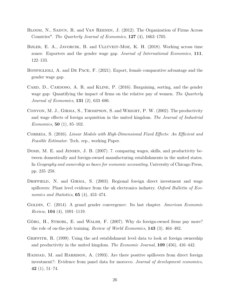- <span id="page-26-6"></span>Bloom, N., Sadun, R. and Van Reenen, J. (2012). The Organization of Firms Across Countries\*. *The Quarterly Journal of Economics*, **127** (4), 1663–1705.
- <span id="page-26-10"></span>Bøler, E. A., JAVORCIK, B. and ULLTVEIT-MOE, K. H. (2018). Working across time zones: Exporters and the gender wage gap. *Journal of International Economics*, **111**, 122–133.
- <span id="page-26-9"></span>BONFIGLIOLI, A. and DE PACE, F. (2021). Export, female comparative advantage and the gender wage gap.
- <span id="page-26-8"></span>CARD, D., CARDOSO, A. R. and KLINE, P. (2016). Bargaining, sorting, and the gender wage gap: Quantifying the impact of firms on the relative pay of women. *The Quarterly Journal of Economics*, **131** (2), 633–686.
- <span id="page-26-0"></span>Conyon, M. J., Girma, S., Thompson, S. and Wright, P. W. (2002). The productivity and wage effects of foreign acquisition in the united kingdom. *The Journal of Industrial Economics*, **50** (1), 85–102.
- <span id="page-26-11"></span>Correia, S. (2016). *Linear Models with High-Dimensional Fixed Effects: An Efficient and Feasible Estimator*. Tech. rep., working Paper.
- <span id="page-26-1"></span>Doms, M. E. and Jensen, J. B. (2007). 7. comparing wages, skills, and productivity between domestically and foreign-owned manufacturing establishments in the united states. In *Geography and ownership as bases for economic accounting*, University of Chicago Press, pp. 235–258.
- <span id="page-26-2"></span>DRIFFIELD, N. and GIRMA, S. (2003). Regional foreign direct investment and wage spillovers: Plant level evidence from the uk electronics industry. *Oxford Bulletin of Economics and Statistics*, **65** (4), 453–474.
- <span id="page-26-7"></span>Goldin, C. (2014). A grand gender convergence: Its last chapter. *American Economic Review*, **104** (4), 1091–1119.
- <span id="page-26-4"></span>GÖRG, H., STROBL, E. and WALSH, F. (2007). Why do foreign-owned firms pay more? the role of on-the-job training. *Review of World Economics*, **143** (3), 464–482.
- <span id="page-26-3"></span>GRIFFITH, R. (1999). Using the ard establishment level data to look at foreign ownership and productivity in the united kingdom. *The Economic Journal*, **109** (456), 416–442.
- <span id="page-26-5"></span>HADDAD, M. and HARRISON, A. (1993). Are there positive spillovers from direct foreign investment?: Evidence from panel data for morocco. *Journal of development economics*, **42** (1), 51–74.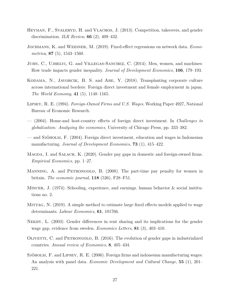- <span id="page-27-8"></span>HEYMAN, F., SVALERYD, H. and VLACHOS, J. (2013). Competition, takeovers, and gender discrimination. *ILR Review*, **66** (2), 409–432.
- <span id="page-27-12"></span>JOCHMANS, K. and WEIDNER, M. (2019). Fixed-effect regressions on network data. *Econometrica*, **87** (5), 1543–1560.
- <span id="page-27-9"></span>JUHN, C., UJHELYI, G. and VILLEGAS-SANCHEZ, C. (2014). Men, women, and machines: How trade impacts gender inequality. *Journal of Development Economics*, **106**, 179–193.
- <span id="page-27-1"></span>KODAMA, N., JAVORCIK, B. S. and ABE, Y. (2018). Transplanting corporate culture across international borders: Foreign direct investment and female employment in japan. *The World Economy*, **41** (5), 1148–1165.
- <span id="page-27-2"></span>Lipsey, R. E. (1994). *Foreign-Owned Firms and U.S. Wages*. Working Paper 4927, National Bureau of Economic Research.
- <span id="page-27-5"></span>— (2004). Home-and host-country effects of foreign direct investment. In *Challenges to globalization: Analyzing the economics*, University of Chicago Press, pp. 333–382.
- <span id="page-27-3"></span>— and Sjöholm, F. (2004). Foreign direct investment, education and wages in Indonesian manufacturing. *Journal of Development Economics*, **73** (1), 415–422.
- <span id="page-27-0"></span>MAGDA, I. and SAŁACH, K. (2020). Gender pay gaps in domestic and foreign-owned firms. *Empirical Economics*, pp. 1–27.
- <span id="page-27-10"></span>MANNING, A. and PETRONGOLO, B. (2008). The part-time pay penalty for women in britain. *The economic journal*, **118** (526), F28–F51.
- <span id="page-27-11"></span>MINCER, J. (1974). Schooling, experience, and earnings. human behavior  $\&$  social institutions no. 2.
- <span id="page-27-13"></span>MITTAG, N. (2019). A simple method to estimate large fixed effects models applied to wage determinants. *Labour Economics*, **61**, 101766.
- <span id="page-27-6"></span>NEKBY, L. (2003). Gender differences in rent sharing and its implications for the gender wage gap, evidence from sweden. *Economics Letters*, **81** (3), 403–410.
- <span id="page-27-7"></span>Olivetti, C. and Petrongolo, B. (2016). The evolution of gender gaps in industrialized countries. *Annual review of Economics*, **8**, 405–434.
- <span id="page-27-4"></span>SJÖHOLM, F. and LIPSEY, R. E. (2006). Foreign firms and indonesian manufacturing wages: An analysis with panel data. *Economic Development and Cultural Change*, **55** (1), 201– 221.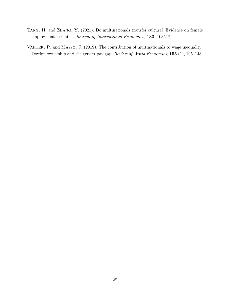- <span id="page-28-1"></span>Tang, H. and Zhang, Y. (2021). Do multinationals transfer culture? Evidence on female employment in China. *Journal of International Economics*, **133**, 103518.
- <span id="page-28-0"></span>VAHTER, P. and MASSO, J. (2019). The contribution of multinationals to wage inequality: Foreign ownership and the gender pay gap. *Review of World Economics*, **155** (1), 105–148.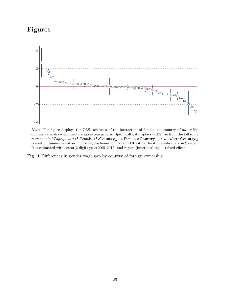## **Figures**

<span id="page-29-0"></span>

*Note*: The figure displays the OLS estimates of the interaction of female and country of ownership dummy variables within sector-region-year groups. Specifically, it displays  $\hat{b}_3 \pm 2 \times$  se from the following regression ln  $Wage_{ijst} = a+b_1$ Female<sub>*i*</sub>+ $b_2$ Country<sub>*jt*</sub>+ $b_3$ Female<sub>*i*</sub>×Country<sub>*jt*</sub>+ $\varepsilon_{ijst}$ , where Country<sub>*jt*</sub> is a set of dummy variables indicating the home country of FDI with at least one subsidiary in Sweden. It is estimated with sector(2-digit)-year(2005–2015) and region (functional region) fixed effects.

**Fig. 1** Differences in gender wage gap by country of foreign ownership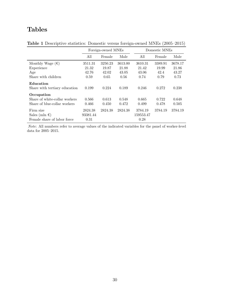## **Tables**

|                                                                             |                                   | Foreign-owned MNEs                |                                   | Domestic MNEs                     |                                  |                                   |  |
|-----------------------------------------------------------------------------|-----------------------------------|-----------------------------------|-----------------------------------|-----------------------------------|----------------------------------|-----------------------------------|--|
|                                                                             | All                               | Female                            | Male                              | All                               | Female                           | Male                              |  |
| Monthly Wage $(\epsilon)$<br>Experience<br>Age<br>Share with children       | 3511.31<br>21.32<br>42.76<br>0.59 | 3250.23<br>19.87<br>42.02<br>0.65 | 3613.00<br>21.88<br>43.05<br>0.56 | 3610.31<br>21.42<br>43.06<br>0.74 | 3389.91<br>19.99<br>42.4<br>0.79 | 3678.17<br>21.86<br>43.27<br>0.73 |  |
| Education<br>Share with tertiary education                                  | 0.199                             | 0.224                             | 0.189                             | 0.246                             | 0.272                            | 0.238                             |  |
| Occupation<br>Share of white-collar workers<br>Share of blue-collar workers | 0.566<br>0.466                    | 0.613<br>0.450                    | 0.548<br>0.472                    | 0.665<br>0.499                    | 0.722<br>0.478                   | 0.648<br>0.505                    |  |
| Firm size<br>Sales (mln $\epsilon$ )<br>Female share of labor force         | 2824.38<br>93381.44<br>0.31       | 2824.38                           | 2824.38                           | 3784.19<br>159553.47<br>0.28      | 3784.19                          | 3784.19                           |  |

<span id="page-30-0"></span>**Table 1** Descriptive statistics: Domestic versus foreign-owned MNEs (2005–2015)

*Note*: All numbers refer to average values of the indicated variables for the panel of worker-level data for 2005–2015.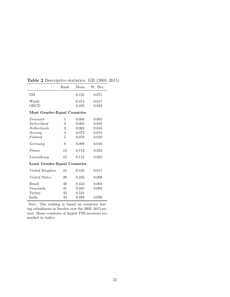|                                     | Rank | Mean  | St. Dev. |
|-------------------------------------|------|-------|----------|
| GH                                  |      | 0.125 | 0.071    |
| World                               |      | 0.474 | 0.017    |
| OECD                                |      | 0.235 | 0.023    |
| Most Gender-Equal Countries         |      |       |          |
| Denmark                             | 1    | 0.056 | 0.005    |
| Switzerland                         | 2    | 0.062 | 0.010    |
| <i>Netherlands</i>                  | 3    | 0.062 | 0.016    |
| Norway                              | 4    | 0.073 | 0.012    |
| Finland                             | 5    | 0.078 | 0.010    |
| Germany                             | 8    | 0.099 | 0.016    |
| France                              | 13   | 0.113 | 0.023    |
| Luxembourg                          | 15   | 0.113 | 0.022    |
| <b>Least Gender-Equal Countries</b> |      |       |          |
| United Kingdom                      | 24   | 0.185 | 0.017    |
| United States                       | 29   | 0.256 | 0.009    |
| Brazil                              | 40   | 0.443 | 0.004    |
| Venezuela                           | 41   | 0.485 | 0.002    |
| Turkey                              | 42   | 0.531 |          |
| India                               | 43   | 0.593 | 0.026    |

<span id="page-31-0"></span>**Table 2** Descriptive statistics: GII (2005–2015)

*Note*: The ranking is based on countries having subsidiaries in Sweden over the 2005–2015 period. Home countries of largest FDI investors are marked in italics.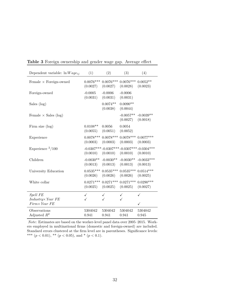| Dependent variable: $\ln Wage_{ij}$                | (1)                     | (2)                     | (3)                     | (4)                                                             |
|----------------------------------------------------|-------------------------|-------------------------|-------------------------|-----------------------------------------------------------------|
| Female $\times$ Foreign-owned                      | $0.0076***$<br>(0.0027) | $0.0076***$<br>(0.0027) | $0.0076***$<br>(0.0028) | $0.0052**$<br>(0.0023)                                          |
| Foreign-owned                                      | $-0.0005$<br>(0.0031)   | $-0.0006$<br>(0.0031)   | $-0.0006$<br>(0.0031)   |                                                                 |
| Sales (log)                                        |                         | $0.0074**$<br>(0.0038)  | $0.0090**$<br>(0.0044)  |                                                                 |
| Female $\times$ Sales (log)                        |                         |                         | $-0.0057**$<br>(0.0027) | $-0.0039**$<br>(0.0018)                                         |
| Firm size $(\log)$                                 | $0.0108**$<br>(0.0055)  | 0.0056<br>(0.0051)      | 0.0054<br>(0.0052)      |                                                                 |
| Experience                                         | $0.0078***$<br>(0.0003) | $0.0078***$<br>(0.0003) | $0.0078***$<br>(0.0003) | $0.0077***$<br>(0.0003)                                         |
| Experience $2/100$                                 | (0.0010)                | (0.0010)                | (0.0010)                | $-0.0307***$ $-0.0307***$ $-0.0307***$ $-0.0304***$<br>(0.0010) |
| Children                                           | $-0.0030**$<br>(0.0013) | $-0.0030**$<br>(0.0013) | $-0.0030**$<br>(0.0013) | $-0.0033***$<br>(0.0013)                                        |
| University Education                               | $0.0535***$<br>(0.0026) | $0.0535***$<br>(0.0026) | $0.0535***$<br>(0.0026) | $0.0514***$<br>(0.0025)                                         |
| White collar                                       | $0.0271***$<br>(0.0025) | $0.0271***$<br>(0.0025) | $0.0271***$<br>(0.0025) | $0.0290***$<br>(0.0027)                                         |
| <b>Spell FE</b>                                    | $\checkmark$            | $\checkmark$            | $\checkmark$            | ✓                                                               |
| $Industry \times Year$ FE<br>$Firm \times Year$ FE |                         |                         | ✓                       | ✓                                                               |
| Observations<br>Adjusted $R^2$                     | 5304042<br>0.941        | 5304042<br>0.941        | 5304042<br>0.941        | 5304042<br>0.945                                                |

<span id="page-32-0"></span>**Table 3** Foreign ownership and gender wage gap. Average effect

*Note*: Estimates are based on the worker-level panel data over 2005–2015. Workers employed in multinational firms (domestic and foreign-owned) are included. Standard errors clustered at the firm level are in parentheses. Significance levels: \*\*\*  $(p < 0.01)$ , \*\*  $(p < 0.05)$ , and \*  $(p < 0.1)$ .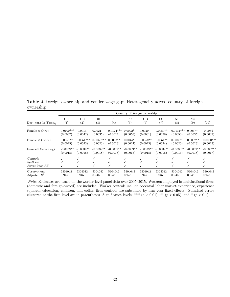**Table 4** Foreign ownership and gender wage gap: Heterogeneity across country of foreign ownership

<span id="page-33-0"></span>

|                                                 |             | Country of foreign ownership |             |             |             |             |             |                  |             |             |
|-------------------------------------------------|-------------|------------------------------|-------------|-------------|-------------|-------------|-------------|------------------|-------------|-------------|
| Dep. var.: $\ln Wage_{ij}$                      | CH          | DE                           | DK          | FI          | FR.         | GB          | LU          | $\mathbf{NL}$    | NO.         | US          |
|                                                 | (1)         | (2)                          | (3)         | (4)         | (5)         | (6)         | (7)         | $\left(8\right)$ | (9)         | (10)        |
| Female $\times$ Ctry :                          | $0.0100***$ | $-0.0013$                    | 0.0021      | $0.0124***$ | $0.0092*$   | 0.0029      | $0.0059**$  | $0.0131***$      | $0.0067*$   | $-0.0034$   |
|                                                 | (0.0032)    | (0.0042)                     | (0.0035)    | (0.0024)    | (0.0056)    | (0.0031)    | (0.0028)    | (0.0050)         | (0.0035)    | (0.0032)    |
| Female $\times$ Other :                         | $0.0057**$  | $0.0051***$                  | $0.0055***$ | $0.0053**$  | $0.0044*$   | $0.0052**$  | $0.0051**$  | $0.0038*$        | $0.0052**$  | $0.0060***$ |
|                                                 | (0.0025)    | (0.0023)                     | (0.0023)    | (0.0023)    | (0.0024)    | (0.0023)    | (0.0024)    | (0.0020)         | (0.0023)    | (0.0023)    |
| Female $\times$ Sales (log)                     | $-0.0039**$ | $-0.0039**$                  | $-0.0039**$ | $-0.0039**$ | $-0.0039**$ | $-0.0039**$ | $-0.0039**$ | $-0.0038**$      | $-0.0039**$ | $-0.0037**$ |
|                                                 | (0.0018)    | (0.0018)                     | (0.0018)    | (0.0018)    | (0.0018)    | (0.0018)    | (0.0018)    | (0.0016)         | (0.0018)    | (0.0017)    |
| Controls<br>Spell FE<br>$Firm \times Year$ $FE$ |             |                              | √<br>√      | ✓<br>√      |             |             |             | √                | √           |             |
| Observations                                    | 5304042     | 5304042                      | 5304042     | 5304042     | 5304042     | 5304042     | 5304042     | 5304042          | 5304042     | 5304042     |
| Adjusted $R^2$                                  | 0.945       | 0.945                        | 0.945       | 0.945       | 0.945       | 0.945       | 0.945       | 0.945            | 0.945       | 0.945       |

*Note*: Estimates are based on the worker-level panel data over 2005–2015. Workers employed in multinational firms (domestic and foreign-owned) are included. Worker controls include potential labor market experience, experience squared, education, children, and collar; firm controls are subsumed by firm-year fixed effects. Standard errors clustered at the firm level are in parentheses. Significance levels: \*\*\*  $(p < 0.01)$ , \*\*  $(p < 0.05)$ , and \*  $(p < 0.1)$ .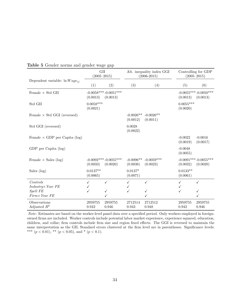<span id="page-34-0"></span>

|                                      | GII<br>$(2005 - 2015)$  |                                    | Alt. inequality index GGI<br>$(2006 - 2015)$ |                          | Controlling for GDP<br>$(2005 - 2015)$ |                                    |  |
|--------------------------------------|-------------------------|------------------------------------|----------------------------------------------|--------------------------|----------------------------------------|------------------------------------|--|
| Dependent variable: $\ln Wage_{ij}$  | (1)                     | (2)                                | (3)                                          | (4)                      | (5)                                    | (6)                                |  |
| Female $\times$ Std GII              | (0.0013)                | $-0.0058***-0.0051***$<br>(0.0013) |                                              |                          | (0.0013)                               | $-0.0055***-0.0050***$<br>(0.0013) |  |
| Std GII                              | $0.0058***$<br>(0.0021) |                                    |                                              |                          | $0.0055***$<br>(0.0020)                |                                    |  |
| Female $\times$ Std GGI (reversed)   |                         |                                    | $-0.0026**$<br>(0.0012)                      | $-0.0026**$<br>(0.0011)  |                                        |                                    |  |
| Std GGI (reversed)                   |                         |                                    | 0.0028<br>(0.0022)                           |                          |                                        |                                    |  |
| Female $\times$ GDP per Capita (log) |                         |                                    |                                              |                          | $-0.0022$<br>(0.0019)                  | $-0.0016$<br>(0.0017)              |  |
| GDP per Capita (log)                 |                         |                                    |                                              |                          | $-0.0048$<br>(0.0055)                  |                                    |  |
| Female $\times$ Sales (log)          | (0.0033)                | $-0.0092***-0.0055***$<br>(0.0020) | $-0.0096**$<br>(0.0038)                      | $-0.0059***$<br>(0.0023) | (0.0032)                               | $-0.0091***-0.0055***$<br>(0.0020) |  |
| Sales $(log)$                        | $0.0137**$<br>(0.0065)  |                                    | $0.0137*$<br>(0.0071)                        |                          | $0.0133**$<br>(0.0061)                 |                                    |  |
| Controls                             | $\checkmark$            | $\checkmark$                       | $\checkmark$                                 | $\checkmark$             | ✓                                      | $\checkmark$                       |  |
| $Industry \times Year$ FE            | ✓                       |                                    | ✓                                            |                          | ✓                                      |                                    |  |
| Spell FE<br>Firm× Year FE            | ✓                       | $\checkmark$                       | ✓                                            |                          | ✓                                      | ✓                                  |  |
| Observations<br>Adjusted $R^2$       | 2959755<br>0.942        | 2959755<br>0.946                   | 2712514<br>0.943                             | 2712512<br>0.948         | 2959755<br>0.942                       | 2959755<br>0.946                   |  |

**Table 5** Gender norms and gender wage gap

*Note*: Estimates are based on the worker-level panel data over a specified period. Only workers employed in foreignowned firms are included. Worker controls include potential labor market experience, experience squared, education, children, and collar; firm controls include firm size and region fixed effects. The GGI is reversed to maintain the same interpretation as the GII. Standard errors clustered at the firm level are in parentheses. Significance levels: \*\*\*  $(p < 0.01)$ , \*\*  $(p < 0.05)$ , and \*  $(p < 0.1)$ .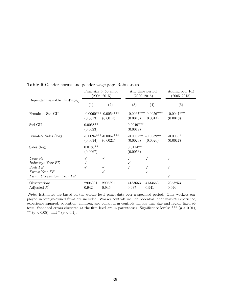<span id="page-35-0"></span>

|                                     | Firm size $> 50$ empl.<br>$(2005 - 2015)$ |                                    |                         | Alt. time period<br>$(2000 - 2015)$ | Adding occ. FE<br>$(2005 - 2015)$ |
|-------------------------------------|-------------------------------------------|------------------------------------|-------------------------|-------------------------------------|-----------------------------------|
| Dependent variable: $\ln Wage_{ij}$ | (1)                                       | (2)                                | (3)                     | (4)                                 | (5)                               |
| Female $\times$ Std GII             | (0.0013)                                  | $-0.0060***-0.0054***$<br>(0.0014) | (0.0013)                | $-0.0067***-0.0056***$<br>(0.0014)  | $-0.0047***$<br>(0.0013)          |
| Std GII                             | $0.0058**$<br>(0.0023)                    |                                    | $0.0049***$<br>(0.0019) |                                     |                                   |
| Female $\times$ Sales (log)         | (0.0034)                                  | $-0.0094***-0.0057***$<br>(0.0021) | (0.0029)                | $-0.0067**$ $-0.0039**$<br>(0.0020) | $-0.0033*$<br>(0.0017)            |
| Sales $(\log)$                      | $0.0133**$<br>(0.0067)                    |                                    | $0.0114**$<br>(0.0053)  |                                     |                                   |
| Controls                            |                                           |                                    |                         |                                     |                                   |
| $Industry \times Year$ FE           |                                           |                                    |                         |                                     |                                   |
| <b>Spell FE</b>                     |                                           |                                    |                         |                                     |                                   |
| $Firm \times Year$ FE               |                                           |                                    |                         |                                     |                                   |
| Firm×Occupation×Year FE             |                                           |                                    |                         |                                     |                                   |
| Observations<br>Adjusted $R^2$      | 2906391<br>0.942                          | 2906391<br>0.946                   | 4133663<br>0.937        | 4133663<br>0.941                    | 2953253<br>0.946                  |

**Table 6** Gender norms and gender wage gap: Robustness

*Note*: Estimates are based on the worker-level panel data over a specified period. Only workers employed in foreign-owned firms are included. Worker controls include potential labor market experience, experience squared, education, children, and collar; firm controls include firm size and region fixed effects. Standard errors clustered at the firm level are in parentheses. Significance levels: \*\*\* (*p <* 0*.*01), \*\*  $(p < 0.05)$ , and \*  $(p < 0.1)$ .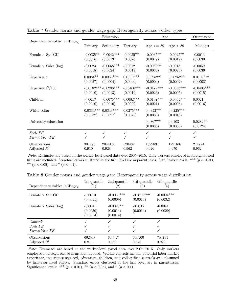<span id="page-36-0"></span>

|                                          |                         | Education                          |                           | Age                      |                          | Occupation               |
|------------------------------------------|-------------------------|------------------------------------|---------------------------|--------------------------|--------------------------|--------------------------|
| Dependent variable: $\ln Wage_{ij}$      | Primary                 | Secondary                          | Tertiary                  | Age $\leq$ 39            | Age > 39                 | Manager                  |
| Female $\times$ Std GII                  | $-0.0035**$<br>(0.0016) | $-0.0042***$<br>(0.0013)           | $-0.0055**$<br>(0.0026)   | $-0.0035**$<br>(0.0017)  | $-0.0045**$<br>(0.0019)  | $-0.0013$<br>(0.0030)    |
| Female $\times$ Sales (log)              | $-0.0023$<br>(0.0018)   | $-0.0068***$<br>(0.0024)           | $-0.0012$<br>(0.0019)     | $-0.0082**$<br>(0.0036)  | $-0.0013$<br>(0.0020)    | $-0.0059$<br>(0.0039)    |
| Experience                               | $0.0084**$<br>(0.0037)  | $0.0066***$<br>(0.0004)            | $0.0117***$<br>(0.0006)   | $0.0095***$<br>(0.0004)  | $0.0025***$<br>(0.0002)  | $0.0109***$<br>(0.0008)  |
| $Experience^2/100$                       | (0.0010)                | $-0.0182***-0.0283***$<br>(0.0013) | $-0.0466$ ***<br>(0.0019) | $-0.0477***$<br>(0.0023) | $-0.0083***$<br>(0.0005) | $-0.0405***$<br>(0.0015) |
| Children                                 | $-0.0017$<br>(0.0010)   | $-0.0075***$<br>(0.0016)           | $0.0082***$<br>(0.0009)   | $-0.0102***$<br>(0.0021) | $-0.0035***$<br>(0.0005) | 0.0021<br>(0.0016)       |
| White collar                             | $0.0334***$<br>(0.0032) | $0.0343***$<br>(0.0027)            | $0.0275***$<br>(0.0042)   | $0.0353***$<br>(0.0035)  | $0.0225***$<br>(0.0018)  |                          |
| University education                     |                         |                                    |                           | $0.0367***$<br>(0.0036)  | 0.0103<br>(0.0083)       | $0.0282**$<br>(0.0124)   |
| <b>Spell FE</b><br>$Firm \times Year$ FE | ✓                       | ✓<br>$\checkmark$                  | $\checkmark$              | ✓<br>$\checkmark$        | ✓                        | $\checkmark$             |
| Observations<br>Adjusted $R^2$           | 381775<br>0.910         | 2044180<br>0.928                   | 520432<br>0.962           | 1699891<br>0.926         | 1221607<br>0.970         | 214794<br>0.962          |

**Table 7** Gender norms and gender wage gap: Heterogeneity across worker types

*Note*: Estimates are based on the worker-level panel data over 2005–2015. Only workers employed in foreign-owned firms are included. Standard errors clustered at the firm level are in parentheses. Significance levels: \*\*\* (*p <* 0*.*01), \*\*  $(p < 0.05)$ , and \*  $(p < 0.1)$ .

**Table 8** Gender norms and gender wage gap: Heterogeneity across wage distribution

<span id="page-36-1"></span>

| Dependent variable: $\ln Wage_{ij}$ | 1st quantile<br>(1)               | 2nd quantile<br>$\left( 2\right)$   | 3rd quantile<br>$\left( 3\right)$ | 4th quantile<br>$\left(4\right)$ |
|-------------------------------------|-----------------------------------|-------------------------------------|-----------------------------------|----------------------------------|
| Female $\times$ Std GII             | $-0.0010$<br>(0.0011)             | $-0.0030***$<br>(0.0009)            | $-0.0069***$<br>(0.0019)          | $-0.0094***$<br>(0.0032)         |
| Female $\times$ Sales (log)         | $-0.0041$<br>(0.0030)<br>(0.0014) | $-0.0028**$<br>(0.0014)<br>(0.0014) | $-0.0017$<br>(0.0014)             | $-0.0041$<br>(0.0029)            |
| Controls                            | ✓                                 |                                     |                                   |                                  |
| <i>Spell</i> FE                     |                                   |                                     |                                   |                                  |
| $Firm \times Year$ FE               |                                   |                                     |                                   |                                  |
| Observations<br>Adjusted $R^2$      | 662988<br>0.811                   | 640017<br>0.569                     | 660500<br>0.646                   | 703735<br>0.920                  |

*Note*: Estimates are based on the worker-level panel data over 2005–2015. Only workers employed in foreign-owned firms are included. Worker controls include potential labor market experience, experience squared, education, children, and collar; firm controls are subsumed by firm-year fixed effects. Standard errors clustered at the firm level are in parentheses. Significance levels: \*\*\*  $(p < 0.01)$ , \*\*  $(p < 0.05)$ , and \*  $(p < 0.1)$ .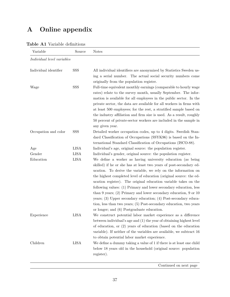# **A Online appendix**

| Variable                   | Source      | <b>Notes</b>                                                                                                                                                                                                                                                                                                                                                                                                                                                                                                                                                                                                                                                                                  |
|----------------------------|-------------|-----------------------------------------------------------------------------------------------------------------------------------------------------------------------------------------------------------------------------------------------------------------------------------------------------------------------------------------------------------------------------------------------------------------------------------------------------------------------------------------------------------------------------------------------------------------------------------------------------------------------------------------------------------------------------------------------|
| Individual level variables |             |                                                                                                                                                                                                                                                                                                                                                                                                                                                                                                                                                                                                                                                                                               |
| Individual identifier      | SSS         | All individual identifiers are anonymized by Statistics Sweden us-<br>ing a serial number. The actual social security numbers come<br>originally from the population register.                                                                                                                                                                                                                                                                                                                                                                                                                                                                                                                |
| Wage                       | SSS         | Full-time equivalent monthly earnings (comparable to hourly wage<br>rates) relate to the survey month, usually September. The infor-<br>mation is available for all employees in the public sector. In the<br>private sector, the data are available for all workers in firms with<br>at least 500 employees; for the rest, a stratified sample based on<br>the industry affiliation and firm size is used. As a result, roughly<br>50 percent of private-sector workers are included in the sample in<br>any given year.                                                                                                                                                                     |
| Occupation and color       | SSS         | Detailed worker occupation codes, up to 4 digits. Swedish Stan-<br>dard Classification of Occupations (SSYK96) is based on the In-<br>ternational Standard Classification of Occupations (ISCO-88).                                                                                                                                                                                                                                                                                                                                                                                                                                                                                           |
| Age                        | <b>LISA</b> | Individual's age, original source: the population register.                                                                                                                                                                                                                                                                                                                                                                                                                                                                                                                                                                                                                                   |
| Gender                     | <b>LISA</b> | Individual's gender, original source: the population register.                                                                                                                                                                                                                                                                                                                                                                                                                                                                                                                                                                                                                                |
| Education                  | <b>LISA</b> | We define a worker as having university education (as being<br>skilled) if he or she has at least two years of post-secondary ed-<br>ucation. To derive the variable, we rely on the information on<br>the highest completed level of education (original source: the ed-<br>ucation register). The original education variable takes on the<br>following values: (1) Primary and lower secondary education, less<br>than $9$ years; (2) Primary and lower secondary education, $9 \text{ or } 10$<br>years; $(3)$ Upper secondary education; $(4)$ Post-secondary educa-<br>tion, less than two years; (5) Post-secondary education, two years<br>or longer; and (6) Postgraduate education. |
| Experience                 | <b>LISA</b> | We construct potential labor market experience as a difference<br>between individual's age and (1) the year of obtaining highest level<br>of education, or $(2)$ years of education (based on the education<br>variable). If neither of the variables are available, we subtract 16<br>to obtain potential labor market experience.                                                                                                                                                                                                                                                                                                                                                           |
| Children                   | <b>LISA</b> | We define a dummy taking a value of 1 if there is at least one child<br>below 18 years old in the household (original source: population<br>register).                                                                                                                                                                                                                                                                                                                                                                                                                                                                                                                                        |

#### <span id="page-37-0"></span>**Table A1** Variable definitions

Continued on next page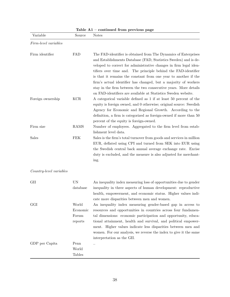| Variable                | Source                                | <b>Notes</b>                                                                                                                                                                                                                                                                                                                                                                                                                                                                                                                                          |
|-------------------------|---------------------------------------|-------------------------------------------------------------------------------------------------------------------------------------------------------------------------------------------------------------------------------------------------------------------------------------------------------------------------------------------------------------------------------------------------------------------------------------------------------------------------------------------------------------------------------------------------------|
| Firm-level variables    |                                       |                                                                                                                                                                                                                                                                                                                                                                                                                                                                                                                                                       |
| Firm identifier         | FAD                                   | The FAD-identifier is obtained from The Dynamics of Enterprises<br>and Establishments Database (FAD, Statistics Sweden) and is de-<br>veloped to correct for administrative changes in firm legal iden-<br>tifiers over time and. The principle behind the FAD-identifier<br>is that it remains the constant from one year to another if the<br>firm's actual identifier has changed, but a majority of workers<br>stay in the firm between the two consecutive years. More details<br>on FAD-identifiers are available at Statistics Sweden website. |
| Foreign ownership       | KCR                                   | A categorical variable defined as 1 if at least 50 percent of the<br>equity is foreign owned, and 0 otherwise; original source: Swedish<br>Agency for Economic and Regional Growth. According to the<br>definition, a firm is categorized as foreign-owned if more than 50<br>percent of the equity is foreign-owned.                                                                                                                                                                                                                                 |
| Firm size               | RAMS                                  | Number of employees. Aggregated to the firm level from estab-<br>lishment level data.                                                                                                                                                                                                                                                                                                                                                                                                                                                                 |
| Sales                   | <b>FEK</b>                            | Sales is the firm's total turnover from goods and services in million<br>EUR, deflated using CPI and turned from SEK into EUR using<br>the Swedish central back annual average exchange rate. Excise<br>duty is excluded, and the measure is also adjusted for merchant-<br>ing.                                                                                                                                                                                                                                                                      |
| Country-level variables |                                       |                                                                                                                                                                                                                                                                                                                                                                                                                                                                                                                                                       |
| GII                     | UN<br>database                        | An inequality index measuring loss of opportunities due to gender<br>inequality in three aspects of human development: reproductive<br>health, empowerment, and economic status. Higher values indi-<br>cate more disparities between men and women.                                                                                                                                                                                                                                                                                                  |
| GGI                     | World<br>Economic<br>Forum<br>reports | An inequality index measuring gender-based gap in access to<br>resources and opportunities in countries across four fundamen-<br>tal dimensions: economic participation and opportunity, educa-<br>tional attainment, health and survival, and political empower-<br>ment. Higher values indicate less disparities between men and<br>women. For our analysis, we reverse the index to give it the same<br>interpretation as the GII.                                                                                                                 |
| GDP per Capita          | Penn<br>World<br><b>Tables</b>        |                                                                                                                                                                                                                                                                                                                                                                                                                                                                                                                                                       |

**Table A1 – continued from previous page**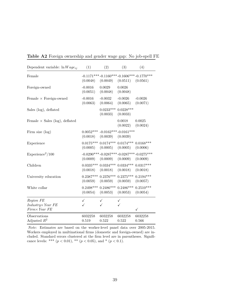| Dependent variable: $\ln Wage_{ij}$        | (1)                   | (2)                                                         | (3)                              | (4)                                                    |
|--------------------------------------------|-----------------------|-------------------------------------------------------------|----------------------------------|--------------------------------------------------------|
| Female                                     | (0.0048)              | (0.0049)                                                    | (0.0511)                         | $-0.1171***-0.1160***-0.1606***-0.1770***$<br>(0.0561) |
| Foreign-owned                              | $-0.0016$<br>(0.0051) | 0.0029<br>(0.0048)                                          | 0.0026<br>(0.0048)               |                                                        |
| Female $\times$ Foreign-owned              | $-0.0016$<br>(0.0063) | $-0.0032$<br>(0.0064)                                       | $-0.0026$<br>(0.0065)            | $-0.0026$<br>(0.0071)                                  |
| Sales (log), deflated                      |                       | $0.0233***$<br>(0.0033)                                     | $0.0228***$<br>(0.0033)          |                                                        |
| Female $\times$ Sales (log), deflated      |                       |                                                             | 0.0018<br>(0.0022)               | 0.0025<br>(0.0024)                                     |
| Firm size $(\log)$                         | (0.0018)              | $0.0052***$ -0.0162***-0.0161***<br>(0.0039)                | (0.0039)                         |                                                        |
| Experience                                 | (0.0005)              | $0.0175***$ $0.0174***$ $0.0174***$ $0.0168***$<br>(0.0005) | (0.0005)                         | (0.0006)                                               |
| Experience <sup>2</sup> /100               | (0.0009)              | (0.0009)                                                    | (0.0009)                         | $-0.0290***-0.0287***-0.0287***-0.0275***$<br>(0.0009) |
| Children                                   | (0.0018)              | $0.0335***$ $0.0334***$<br>(0.0018)                         | $0.0334***0.0317***$<br>(0.0018) | (0.0018)                                               |
| University education                       | (0.0059)              | $0.2387***$ $0.2376***$ $0.2375***$ $0.2194***$<br>(0.0059) | (0.0059)                         | (0.0057)                                               |
| White collar                               | (0.0054)              | $0.2498***$ $0.2486***$ $0.2486***$ $0.2510***$<br>(0.0053) | (0.0053)                         | (0.0054)                                               |
| Region FE                                  | $\checkmark$          | ✓                                                           | $\checkmark$                     |                                                        |
| $Industry \times Year$ FE<br>Firm× Year FE |                       |                                                             | ✓                                | $\checkmark$                                           |
| Observations<br>Adjusted $R^2$             | 6032258<br>0.519      | 6032258<br>0.522                                            | 6032258<br>0.522                 | 6032258<br>0.566                                       |

<span id="page-39-0"></span>**Table A2** Foreign ownership and gender wage gap: No job-spell FE

*Note*: Estimates are based on the worker-level panel data over 2005-2015. Workers employed in multinational firms (domestic and foreign-owned) are included. Standard errors clustered at the firm level are in parentheses. Significance levels: \*\*\*  $(p < 0.01)$ , \*\*  $(p < 0.05)$ , and \*  $(p < 0.1)$ .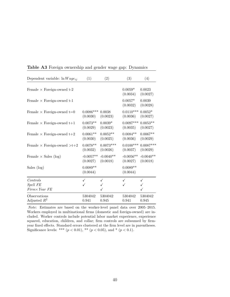| Dependent variable: $\ln Wage_{ij}$      | (1)                    | (2)         | (3)                    | (4)                |
|------------------------------------------|------------------------|-------------|------------------------|--------------------|
| Female $\times$ Foreign-owned t-2        |                        |             | $0.0059*$<br>(0.0034)  | 0.0023<br>(0.0027) |
| Female $\times$ Foreign-owned t-1        |                        |             | $0.0057*$<br>(0.0032)  | 0.0039<br>(0.0028) |
| Female $\times$ Foreign-owned t=0        | $0.0086***$            | 0.0038      | $0.0110***$            | $0.0052*$          |
|                                          | (0.0030)               | (0.0023)    | (0.0036)               | (0.0027)           |
| Female $\times$ Foreign-owned t+1        | $0.0073**$             | $0.0039*$   | $0.0097***$            | $0.0053**$         |
|                                          | (0.0029)               | (0.0023)    | (0.0035)               | (0.0027)           |
| Female $\times$ Foreign-owned t+2        | $0.0061**$             | $0.0052**$  | $0.0084**$             | $0.0067**$         |
|                                          | (0.0030)               | (0.0025)    | (0.0036)               | (0.0029)           |
| Female $\times$ Foreign-owned $>t+2$     | $0.0078**$             | $0.0073***$ | $0.0100***$            | $0.0087***$        |
|                                          | (0.0032)               | (0.0026)    | (0.0037)               | (0.0029)           |
| Female $\times$ Sales (log)              | $-0.0057**$            | $-0.0040**$ | $-0.0056**$            | $-0.0040**$        |
|                                          | (0.0027)               | (0.0018)    | (0.0027)               | (0.0018)           |
| Sales (log)                              | $0.0089**$<br>(0.0044) |             | $0.0089**$<br>(0.0044) |                    |
| Controls                                 | ✓                      | ✓           | ✓                      | ✓                  |
| <b>Spell FE</b><br>$Firm \times Year$ FE |                        |             |                        |                    |
| Observations                             | 5304042                | 5304042     | 5304042                | 5304042            |
| Adjusted $R^2$                           | 0.941                  | 0.945       | 0.941                  | 0.945              |

<span id="page-40-0"></span>**Table A3** Foreign ownership and gender wage gap: Dynamics

*Note*: Estimates are based on the worker-level panel data over 2005–2015. Workers employed in multinational firms (domestic and foreign-owned) are included. Worker controls include potential labor market experience, experience squared, education, children, and collar; firm controls are subsumed by firmyear fixed effects. Standard errors clustered at the firm level are in parentheses. Significance levels: \*\*\*  $(p < 0.01)$ , \*\*  $(p < 0.05)$ , and \*  $(p < 0.1)$ .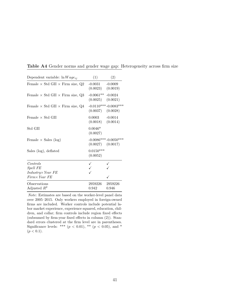| Dependent variable: $\ln Wage_{ij}$                | (1)                     | (2)                                             |
|----------------------------------------------------|-------------------------|-------------------------------------------------|
| Female $\times$ Std GII $\times$ Firm size, Q2     | $-0.0031$<br>(0.0023)   | $-0.0009$<br>(0.0019)                           |
| Female $\times$ Std GII $\times$ Firm size, Q3     | $-0.0061**$<br>(0.0025) | $-0.0024$<br>(0.0021)                           |
| Female $\times$ Std GII $\times$ Firm size, Q4     | (0.0037)                | $-0.0110***-0.0083***$<br>(0.0028)              |
| Female $\times$ Std GII                            | 0.0003                  | $-0.0014$<br>$(0.0018)$ $(0.0014)$              |
| Std GII                                            | $0.0046*$<br>(0.0027)   |                                                 |
| Female $\times$ Sales (log)                        |                         | $-0.0086***-0.0050***$<br>$(0.0027)$ $(0.0017)$ |
| Sales (log), deflated                              | $0.0150***$<br>(0.0052) |                                                 |
| Controls                                           |                         |                                                 |
| <b>Spell FE</b>                                    |                         |                                                 |
| $Industry \times Year$ FE<br>$Firm \times Year$ FE |                         |                                                 |
| Observations                                       | 2959226                 | 2959226                                         |
| Adjusted $R^2$                                     | 0.942                   | 0.946                                           |

<span id="page-41-0"></span>**Table A4** Gender norms and gender wage gap: Heterogeneity across firm size

*Note*: Estimates are based on the worker-level panel data over 2005–2015. Only workers employed in foreign-owned firms are included. Worker controls include potential labor market experience, experience squared, education, children, and collar; firm controls include region fixed effects (subsumed by firm-year fixed effects in column (2)). Standard errors clustered at the firm level are in parentheses. Significance levels: \*\*\*  $(p < 0.01)$ , \*\*  $(p < 0.05)$ , and \*  $(p < 0.1)$ .